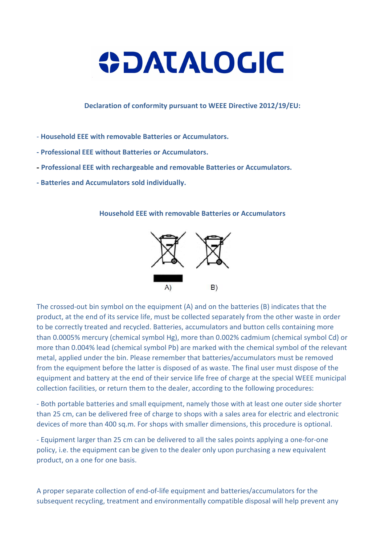

Declaration of conformity pursuant to WEEE Directive 2012/19/EU:

- Household EEE with removable Batteries or Accumulators.
- Professional EEE without Batteries or Accumulators.
- Professional EEE with rechargeable and removable Batteries or Accumulators.
- Batteries and Accumulators sold individually.

## Household EEE with removable Batteries or Accumulators



The crossed-out bin symbol on the equipment (A) and on the batteries (B) indicates that the product, at the end of its service life, must be collected separately from the other waste in order to be correctly treated and recycled. Batteries, accumulators and button cells containing more than 0.0005% mercury (chemical symbol Hg), more than 0.002% cadmium (chemical symbol Cd) or more than 0.004% lead (chemical symbol Pb) are marked with the chemical symbol of the relevant metal, applied under the bin. Please remember that batteries/accumulators must be removed from the equipment before the latter is disposed of as waste. The final user must dispose of the equipment and battery at the end of their service life free of charge at the special WEEE municipal collection facilities, or return them to the dealer, according to the following procedures:

- Both portable batteries and small equipment, namely those with at least one outer side shorter than 25 cm, can be delivered free of charge to shops with a sales area for electric and electronic devices of more than 400 sq.m. For shops with smaller dimensions, this procedure is optional.

- Equipment larger than 25 cm can be delivered to all the sales points applying a one-for-one policy, i.e. the equipment can be given to the dealer only upon purchasing a new equivalent product, on a one for one basis.

A proper separate collection of end-of-life equipment and batteries/accumulators for the subsequent recycling, treatment and environmentally compatible disposal will help prevent any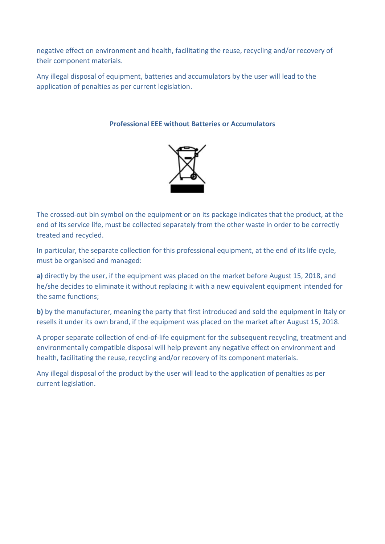negative effect on environment and health, facilitating the reuse, recycling and/or recovery of their component materials.

Any illegal disposal of equipment, batteries and accumulators by the user will lead to the application of penalties as per current legislation.

## Professional EEE without Batteries or Accumulators



The crossed-out bin symbol on the equipment or on its package indicates that the product, at the end of its service life, must be collected separately from the other waste in order to be correctly treated and recycled.

In particular, the separate collection for this professional equipment, at the end of its life cycle, must be organised and managed:

a) directly by the user, if the equipment was placed on the market before August 15, 2018, and he/she decides to eliminate it without replacing it with a new equivalent equipment intended for the same functions;

b) by the manufacturer, meaning the party that first introduced and sold the equipment in Italy or resells it under its own brand, if the equipment was placed on the market after August 15, 2018.

A proper separate collection of end-of-life equipment for the subsequent recycling, treatment and environmentally compatible disposal will help prevent any negative effect on environment and health, facilitating the reuse, recycling and/or recovery of its component materials.

Any illegal disposal of the product by the user will lead to the application of penalties as per current legislation.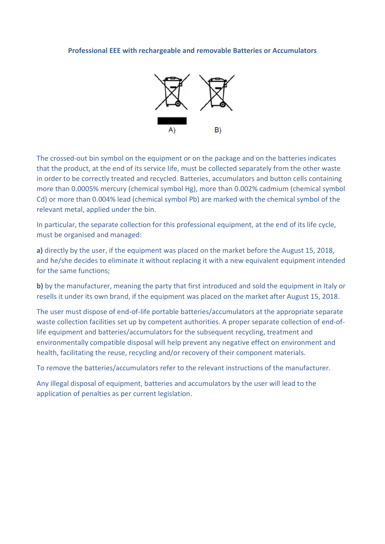## Professional EEE with rechargeable and removable Batteries or Accumulators



The crossed-out bin symbol on the equipment or on the package and on the batteries indicates that the product, at the end of its service life, must be collected separately from the other waste in order to be correctly treated and recycled. Batteries, accumulators and button cells containing more than 0.0005% mercury (chemical symbol Hg), more than 0.002% cadmium (chemical symbol Cd) or more than 0.004% lead (chemical symbol Pb) are marked with the chemical symbol of the relevant metal, applied under the bin.

In particular, the separate collection for this professional equipment, at the end of its life cycle, must be organised and managed:

a) directly by the user, if the equipment was placed on the market before the August 15, 2018, and he/she decides to eliminate it without replacing it with a new equivalent equipment intended for the same functions;

b) by the manufacturer, meaning the party that first introduced and sold the equipment in Italy or resells it under its own brand, if the equipment was placed on the market after August 15, 2018.

The user must dispose of end-of-life portable batteries/accumulators at the appropriate separate waste collection facilities set up by competent authorities. A proper separate collection of end-oflife equipment and batteries/accumulators for the subsequent recycling, treatment and environmentally compatible disposal will help prevent any negative effect on environment and health, facilitating the reuse, recycling and/or recovery of their component materials.

To remove the batteries/accumulators refer to the relevant instructions of the manufacturer.

Any illegal disposal of equipment, batteries and accumulators by the user will lead to the application of penalties as per current legislation.